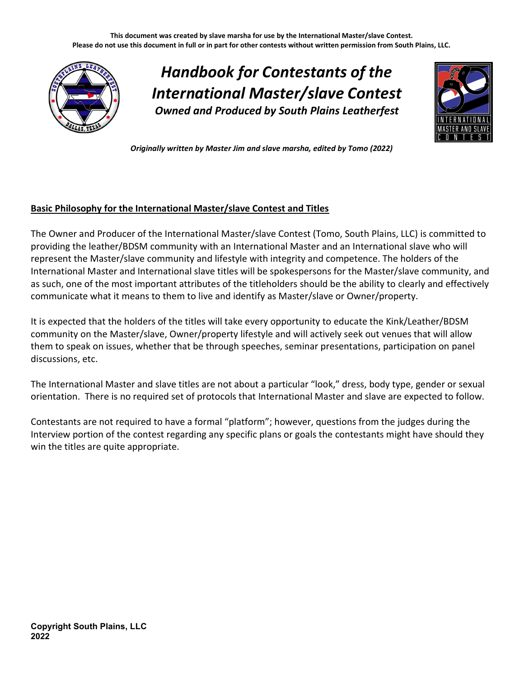This document was created by slave marsha for use by the International Master/slave Contest. Please do not use this document in full or in part for other contests without written permission from South Plains, LLC.



Handbook for Contestants of the International Master/slave Contest Owned and Produced by South Plains Leatherfest



Originally written by Master Jim and slave marsha, edited by Tomo (2022)

### Basic Philosophy for the International Master/slave Contest and Titles

The Owner and Producer of the International Master/slave Contest (Tomo, South Plains, LLC) is committed to providing the leather/BDSM community with an International Master and an International slave who will represent the Master/slave community and lifestyle with integrity and competence. The holders of the International Master and International slave titles will be spokespersons for the Master/slave community, and as such, one of the most important attributes of the titleholders should be the ability to clearly and effectively communicate what it means to them to live and identify as Master/slave or Owner/property.

It is expected that the holders of the titles will take every opportunity to educate the Kink/Leather/BDSM community on the Master/slave, Owner/property lifestyle and will actively seek out venues that will allow them to speak on issues, whether that be through speeches, seminar presentations, participation on panel discussions, etc.

The International Master and slave titles are not about a particular "look," dress, body type, gender or sexual orientation. There is no required set of protocols that International Master and slave are expected to follow.

Contestants are not required to have a formal "platform"; however, questions from the judges during the Interview portion of the contest regarding any specific plans or goals the contestants might have should they win the titles are quite appropriate.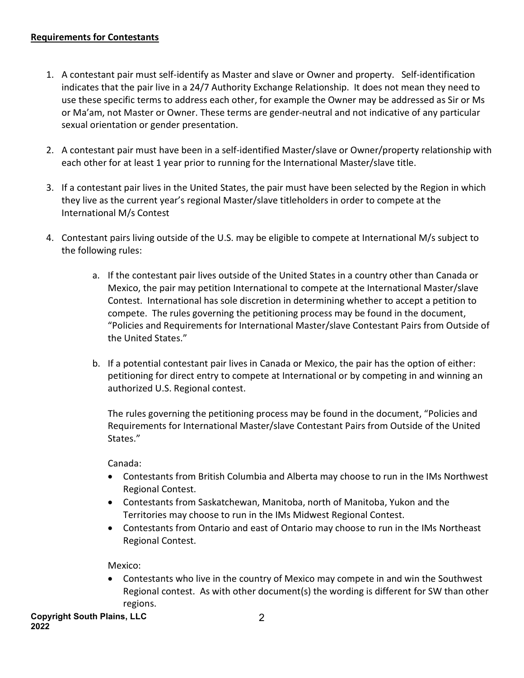#### Requirements for Contestants

- 1. A contestant pair must self-identify as Master and slave or Owner and property. Self-identification indicates that the pair live in a 24/7 Authority Exchange Relationship. It does not mean they need to use these specific terms to address each other, for example the Owner may be addressed as Sir or Ms or Ma'am, not Master or Owner. These terms are gender-neutral and not indicative of any particular sexual orientation or gender presentation.
- 2. A contestant pair must have been in a self-identified Master/slave or Owner/property relationship with each other for at least 1 year prior to running for the International Master/slave title.
- 3. If a contestant pair lives in the United States, the pair must have been selected by the Region in which they live as the current year's regional Master/slave titleholders in order to compete at the International M/s Contest
- 4. Contestant pairs living outside of the U.S. may be eligible to compete at International M/s subject to the following rules:
	- a. If the contestant pair lives outside of the United States in a country other than Canada or Mexico, the pair may petition International to compete at the International Master/slave Contest. International has sole discretion in determining whether to accept a petition to compete. The rules governing the petitioning process may be found in the document, "Policies and Requirements for International Master/slave Contestant Pairs from Outside of the United States."
	- b. If a potential contestant pair lives in Canada or Mexico, the pair has the option of either: petitioning for direct entry to compete at International or by competing in and winning an authorized U.S. Regional contest.

The rules governing the petitioning process may be found in the document, "Policies and Requirements for International Master/slave Contestant Pairs from Outside of the United States."

Canada:

- Contestants from British Columbia and Alberta may choose to run in the IMs Northwest Regional Contest.
- Contestants from Saskatchewan, Manitoba, north of Manitoba, Yukon and the Territories may choose to run in the IMs Midwest Regional Contest.
- Contestants from Ontario and east of Ontario may choose to run in the IMs Northeast Regional Contest.

Mexico:

 Contestants who live in the country of Mexico may compete in and win the Southwest Regional contest. As with other document(s) the wording is different for SW than other regions.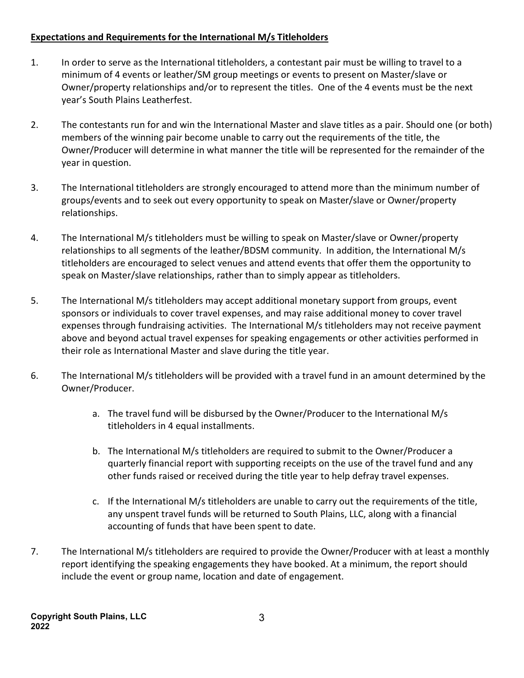## Expectations and Requirements for the International M/s Titleholders

- 1. In order to serve as the International titleholders, a contestant pair must be willing to travel to a minimum of 4 events or leather/SM group meetings or events to present on Master/slave or Owner/property relationships and/or to represent the titles. One of the 4 events must be the next year's South Plains Leatherfest.
- 2. The contestants run for and win the International Master and slave titles as a pair. Should one (or both) members of the winning pair become unable to carry out the requirements of the title, the Owner/Producer will determine in what manner the title will be represented for the remainder of the year in question.
- 3. The International titleholders are strongly encouraged to attend more than the minimum number of groups/events and to seek out every opportunity to speak on Master/slave or Owner/property relationships.
- 4. The International M/s titleholders must be willing to speak on Master/slave or Owner/property relationships to all segments of the leather/BDSM community. In addition, the International M/s titleholders are encouraged to select venues and attend events that offer them the opportunity to speak on Master/slave relationships, rather than to simply appear as titleholders.
- 5. The International M/s titleholders may accept additional monetary support from groups, event sponsors or individuals to cover travel expenses, and may raise additional money to cover travel expenses through fundraising activities. The International M/s titleholders may not receive payment above and beyond actual travel expenses for speaking engagements or other activities performed in their role as International Master and slave during the title year.
- 6. The International M/s titleholders will be provided with a travel fund in an amount determined by the Owner/Producer.
	- a. The travel fund will be disbursed by the Owner/Producer to the International M/s titleholders in 4 equal installments.
	- b. The International M/s titleholders are required to submit to the Owner/Producer a quarterly financial report with supporting receipts on the use of the travel fund and any other funds raised or received during the title year to help defray travel expenses.
	- c. If the International M/s titleholders are unable to carry out the requirements of the title, any unspent travel funds will be returned to South Plains, LLC, along with a financial accounting of funds that have been spent to date.
- 7. The International M/s titleholders are required to provide the Owner/Producer with at least a monthly report identifying the speaking engagements they have booked. At a minimum, the report should include the event or group name, location and date of engagement.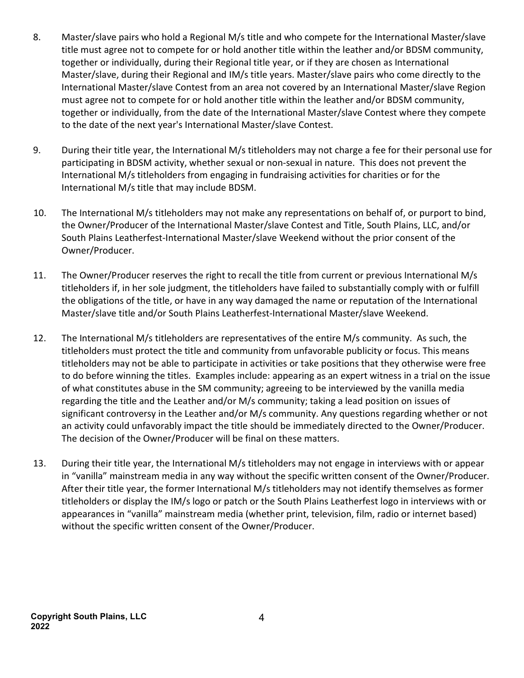- 8. Master/slave pairs who hold a Regional M/s title and who compete for the International Master/slave title must agree not to compete for or hold another title within the leather and/or BDSM community, together or individually, during their Regional title year, or if they are chosen as International Master/slave, during their Regional and IM/s title years. Master/slave pairs who come directly to the International Master/slave Contest from an area not covered by an International Master/slave Region must agree not to compete for or hold another title within the leather and/or BDSM community, together or individually, from the date of the International Master/slave Contest where they compete to the date of the next year's International Master/slave Contest.
- 9. During their title year, the International M/s titleholders may not charge a fee for their personal use for participating in BDSM activity, whether sexual or non-sexual in nature. This does not prevent the International M/s titleholders from engaging in fundraising activities for charities or for the International M/s title that may include BDSM.
- 10. The International M/s titleholders may not make any representations on behalf of, or purport to bind, the Owner/Producer of the International Master/slave Contest and Title, South Plains, LLC, and/or South Plains Leatherfest-International Master/slave Weekend without the prior consent of the Owner/Producer.
- 11. The Owner/Producer reserves the right to recall the title from current or previous International M/s titleholders if, in her sole judgment, the titleholders have failed to substantially comply with or fulfill the obligations of the title, or have in any way damaged the name or reputation of the International Master/slave title and/or South Plains Leatherfest-International Master/slave Weekend.
- 12. The International M/s titleholders are representatives of the entire M/s community. As such, the titleholders must protect the title and community from unfavorable publicity or focus. This means titleholders may not be able to participate in activities or take positions that they otherwise were free to do before winning the titles. Examples include: appearing as an expert witness in a trial on the issue of what constitutes abuse in the SM community; agreeing to be interviewed by the vanilla media regarding the title and the Leather and/or M/s community; taking a lead position on issues of significant controversy in the Leather and/or M/s community. Any questions regarding whether or not an activity could unfavorably impact the title should be immediately directed to the Owner/Producer. The decision of the Owner/Producer will be final on these matters.
- 13. During their title year, the International M/s titleholders may not engage in interviews with or appear in "vanilla" mainstream media in any way without the specific written consent of the Owner/Producer. After their title year, the former International M/s titleholders may not identify themselves as former titleholders or display the IM/s logo or patch or the South Plains Leatherfest logo in interviews with or appearances in "vanilla" mainstream media (whether print, television, film, radio or internet based) without the specific written consent of the Owner/Producer.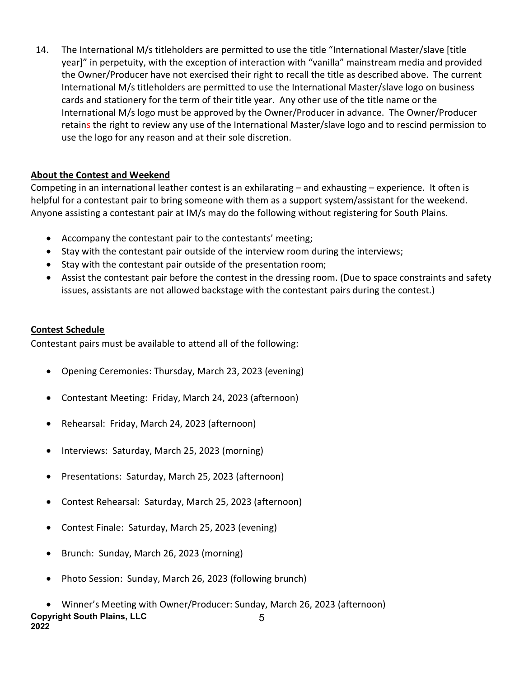14. The International M/s titleholders are permitted to use the title "International Master/slave [title year]" in perpetuity, with the exception of interaction with "vanilla" mainstream media and provided the Owner/Producer have not exercised their right to recall the title as described above. The current International M/s titleholders are permitted to use the International Master/slave logo on business cards and stationery for the term of their title year. Any other use of the title name or the International M/s logo must be approved by the Owner/Producer in advance. The Owner/Producer retains the right to review any use of the International Master/slave logo and to rescind permission to use the logo for any reason and at their sole discretion.

# About the Contest and Weekend

Competing in an international leather contest is an exhilarating – and exhausting – experience. It often is helpful for a contestant pair to bring someone with them as a support system/assistant for the weekend. Anyone assisting a contestant pair at IM/s may do the following without registering for South Plains.

- Accompany the contestant pair to the contestants' meeting;
- Stay with the contestant pair outside of the interview room during the interviews;
- Stay with the contestant pair outside of the presentation room;
- Assist the contestant pair before the contest in the dressing room. (Due to space constraints and safety issues, assistants are not allowed backstage with the contestant pairs during the contest.)

# Contest Schedule

Contestant pairs must be available to attend all of the following:

- Opening Ceremonies: Thursday, March 23, 2023 (evening)
- Contestant Meeting: Friday, March 24, 2023 (afternoon)
- Rehearsal: Friday, March 24, 2023 (afternoon)
- Interviews: Saturday, March 25, 2023 (morning)
- Presentations: Saturday, March 25, 2023 (afternoon)
- Contest Rehearsal: Saturday, March 25, 2023 (afternoon)
- Contest Finale: Saturday, March 25, 2023 (evening)
- Brunch: Sunday, March 26, 2023 (morning)
- Photo Session: Sunday, March 26, 2023 (following brunch)
- Copyright South Plains, LLC 2022 5 Winner's Meeting with Owner/Producer: Sunday, March 26, 2023 (afternoon)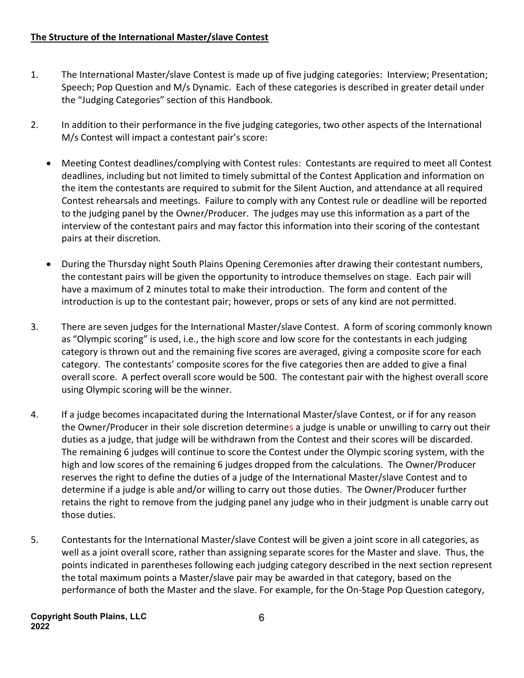- 1. The International Master/slave Contest is made up of five judging categories: Interview; Presentation; Speech; Pop Question and M/s Dynamic. Each of these categories is described in greater detail under the "Judging Categories" section of this Handbook.
- 2. In addition to their performance in the five judging categories, two other aspects of the International M/s Contest will impact a contestant pair's score:
	- Meeting Contest deadlines/complying with Contest rules: Contestants are required to meet all Contest deadlines, including but not limited to timely submittal of the Contest Application and information on the item the contestants are required to submit for the Silent Auction, and attendance at all required Contest rehearsals and meetings. Failure to comply with any Contest rule or deadline will be reported to the judging panel by the Owner/Producer. The judges may use this information as a part of the interview of the contestant pairs and may factor this information into their scoring of the contestant pairs at their discretion.
	- During the Thursday night South Plains Opening Ceremonies after drawing their contestant numbers, the contestant pairs will be given the opportunity to introduce themselves on stage. Each pair will have a maximum of 2 minutes total to make their introduction. The form and content of the introduction is up to the contestant pair; however, props or sets of any kind are not permitted.
- 3. There are seven judges for the International Master/slave Contest. A form of scoring commonly known as "Olympic scoring" is used, i.e., the high score and low score for the contestants in each judging category is thrown out and the remaining five scores are averaged, giving a composite score for each category. The contestants' composite scores for the five categories then are added to give a final overall score. A perfect overall score would be 500. The contestant pair with the highest overall score using Olympic scoring will be the winner.
- 4. If a judge becomes incapacitated during the International Master/slave Contest, or if for any reason the Owner/Producer in their sole discretion determines a judge is unable or unwilling to carry out their duties as a judge, that judge will be withdrawn from the Contest and their scores will be discarded. The remaining 6 judges will continue to score the Contest under the Olympic scoring system, with the high and low scores of the remaining 6 judges dropped from the calculations. The Owner/Producer reserves the right to define the duties of a judge of the International Master/slave Contest and to determine if a judge is able and/or willing to carry out those duties. The Owner/Producer further retains the right to remove from the judging panel any judge who in their judgment is unable carry out those duties.
- 5. Contestants for the International Master/slave Contest will be given a joint score in all categories, as well as a joint overall score, rather than assigning separate scores for the Master and slave. Thus, the points indicated in parentheses following each judging category described in the next section represent the total maximum points a Master/slave pair may be awarded in that category, based on the performance of both the Master and the slave. For example, for the On-Stage Pop Question category,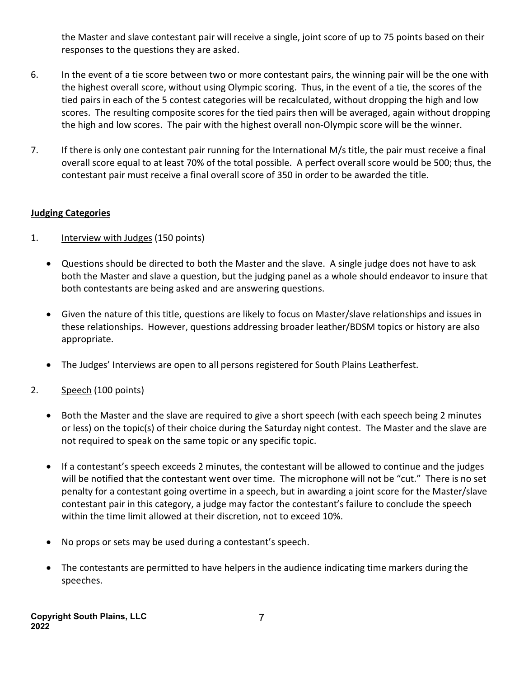the Master and slave contestant pair will receive a single, joint score of up to 75 points based on their responses to the questions they are asked.

- 6. In the event of a tie score between two or more contestant pairs, the winning pair will be the one with the highest overall score, without using Olympic scoring. Thus, in the event of a tie, the scores of the tied pairs in each of the 5 contest categories will be recalculated, without dropping the high and low scores. The resulting composite scores for the tied pairs then will be averaged, again without dropping the high and low scores. The pair with the highest overall non-Olympic score will be the winner.
- 7. If there is only one contestant pair running for the International M/s title, the pair must receive a final overall score equal to at least 70% of the total possible. A perfect overall score would be 500; thus, the contestant pair must receive a final overall score of 350 in order to be awarded the title.

### Judging Categories

- 1. **Interview with Judges (150 points)** 
	- Questions should be directed to both the Master and the slave. A single judge does not have to ask both the Master and slave a question, but the judging panel as a whole should endeavor to insure that both contestants are being asked and are answering questions.
	- Given the nature of this title, questions are likely to focus on Master/slave relationships and issues in these relationships. However, questions addressing broader leather/BDSM topics or history are also appropriate.
	- The Judges' Interviews are open to all persons registered for South Plains Leatherfest.
- 2. Speech (100 points)
	- Both the Master and the slave are required to give a short speech (with each speech being 2 minutes or less) on the topic(s) of their choice during the Saturday night contest. The Master and the slave are not required to speak on the same topic or any specific topic.
	- If a contestant's speech exceeds 2 minutes, the contestant will be allowed to continue and the judges will be notified that the contestant went over time. The microphone will not be "cut." There is no set penalty for a contestant going overtime in a speech, but in awarding a joint score for the Master/slave contestant pair in this category, a judge may factor the contestant's failure to conclude the speech within the time limit allowed at their discretion, not to exceed 10%.
	- No props or sets may be used during a contestant's speech.
	- The contestants are permitted to have helpers in the audience indicating time markers during the speeches.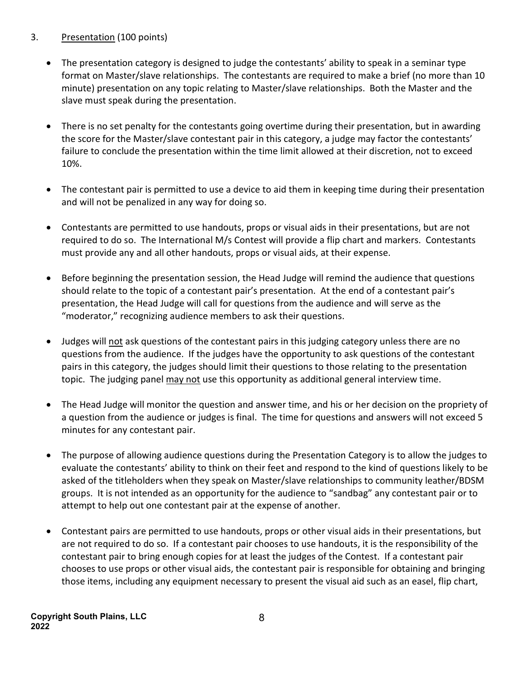# 3. Presentation (100 points)

- The presentation category is designed to judge the contestants' ability to speak in a seminar type format on Master/slave relationships. The contestants are required to make a brief (no more than 10 minute) presentation on any topic relating to Master/slave relationships. Both the Master and the slave must speak during the presentation.
- There is no set penalty for the contestants going overtime during their presentation, but in awarding the score for the Master/slave contestant pair in this category, a judge may factor the contestants' failure to conclude the presentation within the time limit allowed at their discretion, not to exceed 10%.
- The contestant pair is permitted to use a device to aid them in keeping time during their presentation and will not be penalized in any way for doing so.
- Contestants are permitted to use handouts, props or visual aids in their presentations, but are not required to do so. The International M/s Contest will provide a flip chart and markers. Contestants must provide any and all other handouts, props or visual aids, at their expense.
- Before beginning the presentation session, the Head Judge will remind the audience that questions should relate to the topic of a contestant pair's presentation. At the end of a contestant pair's presentation, the Head Judge will call for questions from the audience and will serve as the "moderator," recognizing audience members to ask their questions.
- Judges will not ask questions of the contestant pairs in this judging category unless there are no questions from the audience. If the judges have the opportunity to ask questions of the contestant pairs in this category, the judges should limit their questions to those relating to the presentation topic. The judging panel may not use this opportunity as additional general interview time.
- The Head Judge will monitor the question and answer time, and his or her decision on the propriety of a question from the audience or judges is final. The time for questions and answers will not exceed 5 minutes for any contestant pair.
- The purpose of allowing audience questions during the Presentation Category is to allow the judges to evaluate the contestants' ability to think on their feet and respond to the kind of questions likely to be asked of the titleholders when they speak on Master/slave relationships to community leather/BDSM groups. It is not intended as an opportunity for the audience to "sandbag" any contestant pair or to attempt to help out one contestant pair at the expense of another.
- Contestant pairs are permitted to use handouts, props or other visual aids in their presentations, but are not required to do so. If a contestant pair chooses to use handouts, it is the responsibility of the contestant pair to bring enough copies for at least the judges of the Contest. If a contestant pair chooses to use props or other visual aids, the contestant pair is responsible for obtaining and bringing those items, including any equipment necessary to present the visual aid such as an easel, flip chart,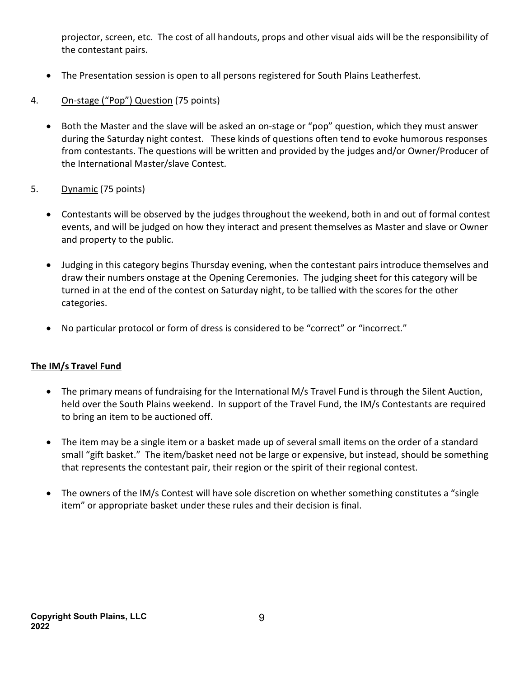projector, screen, etc. The cost of all handouts, props and other visual aids will be the responsibility of the contestant pairs.

- The Presentation session is open to all persons registered for South Plains Leatherfest.
- 4. On-stage ("Pop") Question (75 points)
	- Both the Master and the slave will be asked an on-stage or "pop" question, which they must answer during the Saturday night contest. These kinds of questions often tend to evoke humorous responses from contestants. The questions will be written and provided by the judges and/or Owner/Producer of the International Master/slave Contest.
- 5. Dynamic (75 points)
	- Contestants will be observed by the judges throughout the weekend, both in and out of formal contest events, and will be judged on how they interact and present themselves as Master and slave or Owner and property to the public.
	- Judging in this category begins Thursday evening, when the contestant pairs introduce themselves and draw their numbers onstage at the Opening Ceremonies. The judging sheet for this category will be turned in at the end of the contest on Saturday night, to be tallied with the scores for the other categories.
	- No particular protocol or form of dress is considered to be "correct" or "incorrect."

### The IM/s Travel Fund

- The primary means of fundraising for the International M/s Travel Fund is through the Silent Auction, held over the South Plains weekend. In support of the Travel Fund, the IM/s Contestants are required to bring an item to be auctioned off.
- The item may be a single item or a basket made up of several small items on the order of a standard small "gift basket." The item/basket need not be large or expensive, but instead, should be something that represents the contestant pair, their region or the spirit of their regional contest.
- The owners of the IM/s Contest will have sole discretion on whether something constitutes a "single" item" or appropriate basket under these rules and their decision is final.